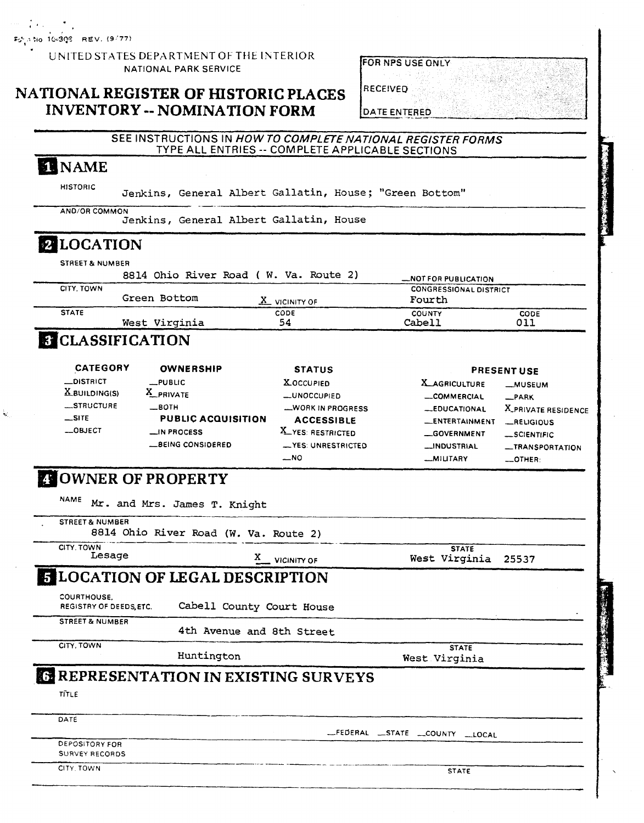Foto No. 10-308 REV. (9/77)

UNITED STATES DEPARTMENT OF THE INTERIOR NATIONAL PARK SERVICE

# **NATIONAL REGISTER OF HISTORIC PLACES INVENTORY** -- **NOMINATION FORM**

| FOR NPS USE ONLY    |  |  |  |  |  |
|---------------------|--|--|--|--|--|
|                     |  |  |  |  |  |
| RECEIVED            |  |  |  |  |  |
|                     |  |  |  |  |  |
| <b>DATE ENTERED</b> |  |  |  |  |  |

# SEE INSTRUCTIONS IN HOW TO COMPLETE NATIONAL REGISTER FORMS **TYPE ALL ENTRIES** -- COMPLETE APPLICABLE SECTIONS

# **TENAME**

HISTORIC Jenkins, General Albert Gallatin, House; "Green Bottom"

AND/OR COMMON

Jenkins, General **Albert** Gallatin, House

# 2 LOCATION

STREET & NUMBER

|              |               | 8814 Ohio River Road ( W. Va. Route 2) | -NOT FOR PUBLICATION          |             |
|--------------|---------------|----------------------------------------|-------------------------------|-------------|
| CITY, TOWN   |               |                                        | <b>CONGRESSIONAL DISTRICT</b> |             |
|              | Green Bottom  | $X$ vicinity of                        | Fourth                        |             |
| <b>STATE</b> |               | CODE                                   | <b>COUNTY</b>                 | <b>CODE</b> |
|              | West Virginia | 54                                     | Cabell                        | 011         |

# **B** CLASSIFICATION

| <b>CATEGORY</b>             | <b>OWNERSHIP</b>          | <b>STATUS</b>           |                       | <b>PRESENT USE</b>  |
|-----------------------------|---------------------------|-------------------------|-----------------------|---------------------|
| <b>__DISTRICT</b>           | $L$ PUBLIC                | <b>XOCCUPIED</b>        | <b>X_AGRICULTURE</b>  | -MUSEUM             |
| $\underline{X}$ building(s) | X PRIVATE                 | -UNOCCUPIED             | <b>_COMMERCIAL</b>    | R                   |
| STRUCTURE                   | $\equiv$ BOTH             | <b>WORK IN PROGRESS</b> | -EDUCATIONAL          | X_PRIVATE RESIDENCE |
| $\equiv$ SITE               | <b>PUBLIC ACQUISITION</b> | <b>ACCESSIBLE</b>       | <b>LENTERTAINMENT</b> | <b>_RELIGIOUS</b>   |
| $-$ OBJECT                  | $\equiv$ IN PROCESS       | X YES: RESTRICTED       | GOVERNMENT            | $-$ SCIENTIFIC      |
|                             | BEING CONSIDERED          | -YES: UNRESTRICTED      | <b>__INDUSTRIAL</b>   | -TRANSPORTATION     |
|                             |                           | $-$ NO                  | -MILITARY             | OTHER:              |

# **DOWNER OF PROPERTY**

| <b>STREET &amp; NUMBER</b>                   | 8814 Ohio River Road (W. Va. Route 2)        |                                        |
|----------------------------------------------|----------------------------------------------|----------------------------------------|
| CITY. TOWN<br>Lesage                         | <b>VICINITY OF</b>                           | <b>STATE</b><br>West Virginia<br>25537 |
|                                              | <b>ELOCATION OF LEGAL DESCRIPTION</b>        |                                        |
| <b>COURTHOUSE.</b><br>REGISTRY OF DEEDS ETC. | Cabell County Court House                    |                                        |
| <b>STREET &amp; NUMBER</b>                   | 4th Avenue and 8th Street                    |                                        |
| CITY, TOWN                                   | Huntington                                   | <b>STATE</b><br>West Virginia          |
|                                              | <b>ER REPRESENTATION IN EXISTING SURVEYS</b> |                                        |
| TITLE                                        |                                              |                                        |
| DATE                                         |                                              |                                        |
|                                              |                                              | -FEDERAL STATE COUNTY LLOCAL           |
| <b>DEPOSITORY FOR</b><br>SURVEY RECORDS      |                                              |                                        |
| CITY, TOWN                                   |                                              | <b>STATE</b>                           |
|                                              |                                              |                                        |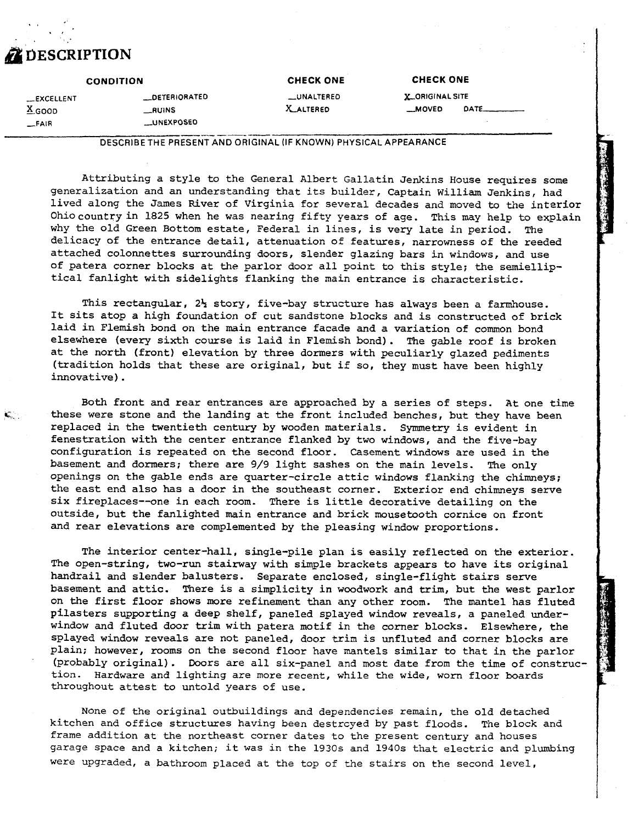

| <b>CONDITION</b>                            |                                                                  | <b>CHECK ONE</b>         | <b>CHECK ONE</b>                       |             |
|---------------------------------------------|------------------------------------------------------------------|--------------------------|----------------------------------------|-------------|
| <b>LEXCELLENT</b><br>$X_{GOOD}$<br>$-$ FAIR | <b>LOETERIORATED</b><br><b>__RUINS</b><br><b>LUNEXPOSED</b>      | __UNALTERED<br>X ALTERED | <b>X_ORIGINAL SITE</b><br><b>MOVED</b> | <b>DATE</b> |
|                                             | DESCRIBE THE PRESENT AND ORIGINAL (IF KNOWN) PHYSICAL APPEARANCE |                          |                                        |             |

Attributing a style to the General Albert Gallatin Jenkins House requires some generalization and an understanding that its builder, Captain William Jenkins, had lived along the James River of Virginia for several decades and moved to the interior Ohiocountryin 1825 when he was nearing fifty years of age. This may help to explain why the old Green Bottom estate, Federal in lines, is very late in period. The delicacy of the entrance detail, attenuation of features, narrowness of the reeded attached colomettes surrounding doors, slender glazing bars in windows, and use of patera corner blocks at the parlor door all point to **this** style; the semielliptical fanlight with sidelights flanking the main entrance is characteristic.

This rectangular,  $2\frac{1}{2}$  story, five-bay structure has always been a farmhouse. It sits atop a high foundation of cut sandstone blocks and is constructed of brick laid in Flemish bond on the main entrance facade and a variation of common bond elsewhere (every sixth course is laid in Flemish bond). The gable roof is broken at the north (front) elevation by three dormers with peculiarly glazed pediments (tradition holds that these are original, but ii so, they must have been highly innovative).

Both front and rear entrances are approached by a series of steps. At one time *G..* these were stone and the landing at the front included benches, but they have been replaced in the twentieth century by wooden materials. Symmetry is evident in fenestration with the center entrance flanked by two windows, and the five-bay configuration is repeated on the second floor. Casement windows are used in the basement and dormers; there are 9/9 light sashes on the main levels. The only openings on the gable ends are quarter-circle attic windows flanking the chimneys; the east end also has a door in the southeast corner. Exterior end chimneys serve six fireplaces--one in each room. There is little decorative detailing on the outside, but the fanlighted main entrance and brick mousetooth cornice on front and rear elevations are complemented by the pleasing window proportions.

The interior center-hall, single-pile plan is easily reflected on the exterior. The open-string, two-run stairway with simple brackets appears to have its original handrail and slender balusters. Separate enclosed, single-flight stairs serve basement and attic. There is a simplicity in woodwork and **trim,** but the west parlor on the first floor shows more refinement than any other room. The mantel has fluted pilasters supporting a deep shelf, paneled splayed window reveals, a paneled underwindow and fluted door trim with patera motif in the corner blocks. Elsewhere, the splayed window reveals are not paneled, door **trim** is unfluted and corner blocks are plain; however, rooms on the second floor have mantels similar to that in the parlor (probably original). Doors are all six-panel and most date from the time of construction. Hardware and lighting are more recent, while **the** wide, **worn** floor boards throughout attest to untold years of use.

None of the original outbuildings and dependencies remain, the old detached kitchen and office structures having been destrcyed by past floods. The block and frame addition at the northeast corner dates to the present century and houses garage space and a kitchen; it was in the 1930s and 1940s that electric and plumbing were upgraded, a bathroom placed at the top of the stairs on the second level,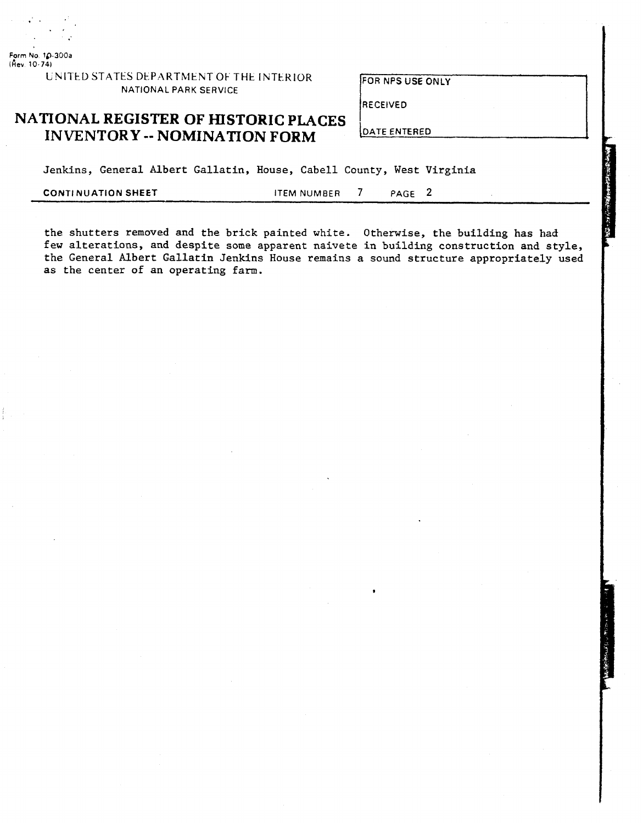**Form No 10-300a ikev 10-74)** 

> **UNITED STATES DEPARTMENT OF THE INTERIOR FOR NPS USE ONLY NATIONAL PARK SERVICE**

**RECEIVED** 

# **NATIONAL REGISTER OF HISTORIC PLACES INVENTORY -- NOMINATION FORM**

Jenkins, General Albert Gallatin, House, Cabell County, West Virginia

**CONTI NUATION SHEET ITEM NUMBER 7 PAGE 2** 

the shutters removed and the brick painted white. Otherwise, the building has had few alterations, and despite some apparent naivete in building construction and style, the General Albert Gallatin Jenkins House remains a sound structure appropriately used as the center of an operating farm.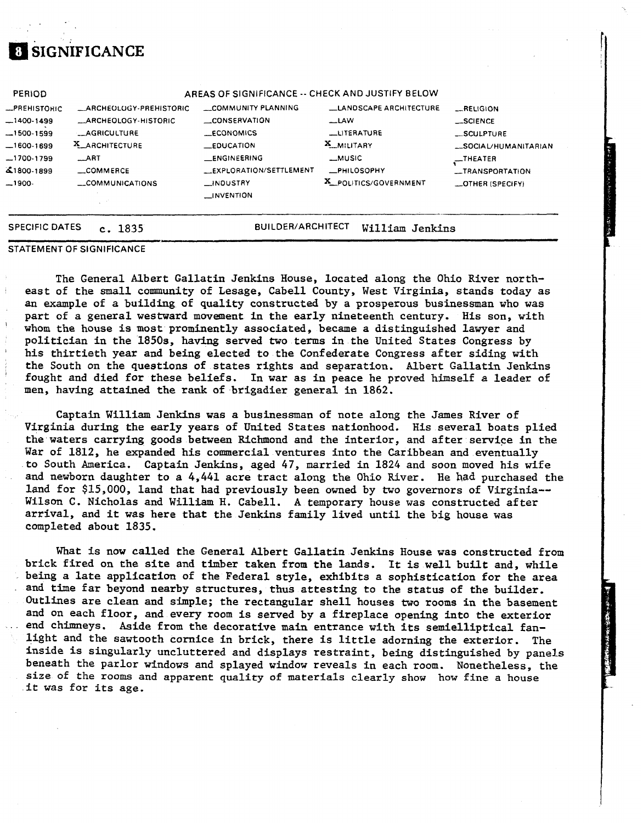# **SIGNIFICANCE**

|                                                                                 | COMMUNICATIONS                                                                                                 | <b>NOUSTRY</b><br><b>INVENTION</b>                                                                                             | X_POLITICS/GOVERNMENT                                               | <b>LOTHER (SPECIFY)</b>                                      |
|---------------------------------------------------------------------------------|----------------------------------------------------------------------------------------------------------------|--------------------------------------------------------------------------------------------------------------------------------|---------------------------------------------------------------------|--------------------------------------------------------------|
| $-1700-1799$<br>41800-1899<br>$-1900-$                                          | $\_ART$<br>COMMERCE                                                                                            | <b>LENGINEERING</b><br>EXPLORATION/SETTLEMENT                                                                                  | _MUSIC<br><b>_PHILOSOPHY</b>                                        | $\overline{\phantom{a}}$ THEATER<br>-TRANSPORTATION          |
| <b>PERIOD</b><br>-PREHISTORIC<br>$-1400-1499$<br>$-1500 - 1599$<br>$-1600-1699$ | <b>LARCHEOLOGY-PREHISTORIC</b><br><b>MARCHEOLOGY-HISTORIC</b><br><b>__AGRICULTURE</b><br><b>X_ARCHITECTURE</b> | AREAS OF SIGNIFICANCE -- CHECK AND JUSTIFY BELOW<br>COMMUNITY PLANNING<br><b>CONSERVATION</b><br><b>ECONOMICS</b><br>EQUCATION | <b>LANDSCAPE ARCHITECTURE</b><br>$-LAW$<br>LITERATURE<br>X_MILITARY | -RELIGION<br>__SCIENCE<br>_SCULPTURE<br>_SOCIAL/HUMANITARIAN |

### **STATEMENT OF SIGNIFICANCE**

The General Albert Gallatin Jenkins House, located along the Ohio River northeast of the small community of Lesage, Cabell County, West Virginia, stands today as an example of a building of quality constructed by a prosperous businessman who was part of a general westward mwement in the early nineteenth century. His son, with whom the house is most prominently associated, became a distinguished lawyer and politician in the 1850s, having served two terms in the United States Congress by his thirtieth year and being elected to the Confederate Congress after siding with the South on the questions of states rights and separation. Albert Gallatin Jenkins fought and died for these beliefs. In war as in peace he proved himself a leader of men, having attained the rank of brigadier general in 1862.

Captain William Jenkins was a businessman of note along the James River of Virginia during the early years of United States nationhood. His several boats plied the waters carrying goods between Richmond and the interior, and after service in the War of 1812, he expanded his commercial ventures into the Caribbean and eventually to South America. Captain Jenkins, aged 47, married in 1824 and soon moved his wife and newborn daughter to a 4,441 acre tract along the Ohio River. He **had** purchased the land for \$15,000, land that had previously been owned by two governors of Virginia--Wilson C. Nicholas and William H. Cabell. A temporary house was constructed after arrival, and it was here that the Jenkins family lived until the big house was completed about 1835.

What is now called the General Albert Gallatin Jenkins House was constructed from brick fired on the site and timber taken from the lands. It is **well** built and, while being a late application of the Federal style, exhibits a sophistication for the area and **time** far beyond nearby structures, thus attesting to the status of the builder. Outlines are clean and simple; the rectangular shell houses **two** rooms in the basement and on each floor, and every room is served by a fireplace opening into **the** exterior end chimneys. Aside from the decorative main entrance with its semielliptical fanlight and the sawtooth cornice in brick, there is little adorning the exterior. The inside is singularly uncluttered and displays restraint, being distinguished by panels beneath the parlor windows and splayed window reveals in each room. Nonetheless, the size **of** the rooms and apparent quality of materials clearly **show how fine** a house it was for its age.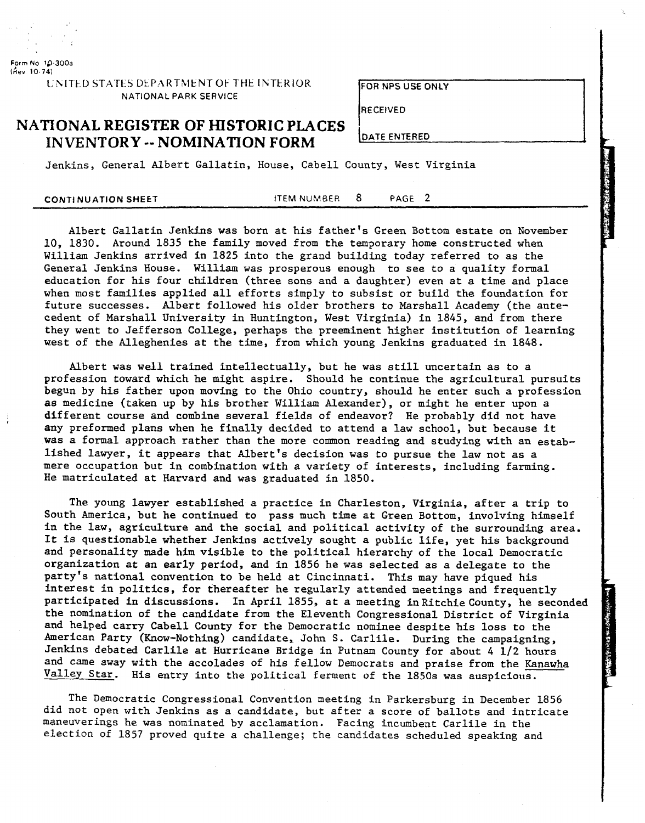

**Form** No 19-300a **(kev 10.741** 

> L h17tD **STA** TtS Dt PARThltNT Ot THt IhTk.KIOR **FOR NPS USE ONLY NATIONAL PARK SERVICE**

**RECEIVED** 

# **NATIONAL REGISTER OF HISTORIC PLACES**

Jenkins, General Albert Gallatin, House, Cabell County, West Virginia

**CONTI NU ATION SHEET** ITEM NUMBER 8 PAGE **2** 

**CONTRIGUAL REGISTER OF HISTORIC PLACES**<br> **INVENTORY -- NOMINATION FORM**<br> **INVENTORY -- NOMINATION FORM**<br> **IEM NUMBER 8** PAGE 2<br> **IEM NUMBER 8** PAGE 2<br> **IEM NUMBER 8** PAGE 2<br> **IEM NUMBER 8** PAGE 2<br> **IEM NUMBER 8** PAGE 2<br> Albert Gallatin Jenkins was born at his father's Green Bottom estate on November 10, 1830. Around 1835 the family moved from the temporary home constructed when William Jenkins arrived in 1825 into the grand building today referred to as the General Jenkins House. William was prosperous enough to see to a quality formal education for his four children (three sons and a daughter) even at a time and place when most families applied all efforts simply to subsist or build the foundation for future successes. Albert followed his older brothers to Marshall Academy (the antecedent of Marshall University in Huntington, West Virginia) in 1845, and from there they went to Jefferson College, perhaps the preeminent higher institution of learning

west of the Alleghenies at the time, from which young Jenkins graduated in 1848.

Albert was well trained intellectually, but he was still uncertain as to a profession toward which he might aspire. Should he continue the agricultural pursuits begun by his father upon moving to the Ohio country, should he enter such a profession as medicine (taken up by his brother William Alexander), or might he enter upon a<br>different course and combine several fields of endeavor? He probably did not have any preformed plans when he finally decided to attend a law school, but because it was a formal approach rather than the more common reading and studying with an established lawyer, it appears that Albert's decision was to pursue the law not as a mere occupation but in combination with a variety of interests, including farming. He matriculated at Harvard and was graduated in 1850.

The young lawyer established a practice in Charleston, Virginia, after a trip to South America, but he continued to pass much time at Green Bottom, involving himself in the law, agriculture and the social and political activity of the surrounding area. It is questionable whether Jenkins actively sought a public life, yet his background and personality made him visible to the political hierarchy of the local Democratic organization at an early period, and in 1856 he was selected as a delegate to the party's national convention to be held at Cincinnati. This may have piqued his interest in politics, for thereafter he regularly attended meetings and frequently participated in discussions. In April 1855, at a meeting in Ritchie County, he seconded the nomination of the candidate from the Eleventh Congressional District of Virginia and helped carry Cabell County for the Democratic nominee despite his loss to the American Party (Know-Nothing) candidate, John S. Carlile. During the campaigning, Jenkins debated Carlile at Hurricane Bridge in Putnam County for about 4 1/2 hours and came away with the accolades of his fellow Democrats and praise from the Kanawha Valley Star. His entry into the political ferment of the 1850s was auspicious.

The Democratic Congressional Convention meeting in Parkersburg in December 1856 did not open with Jenkins as a candidate, but after a score of ballots and intricate maneuverings he was nominated by acclamation. Facing incumbent Carlile in the election of 1857 proved quite a challenge; the candidates scheduled speaking and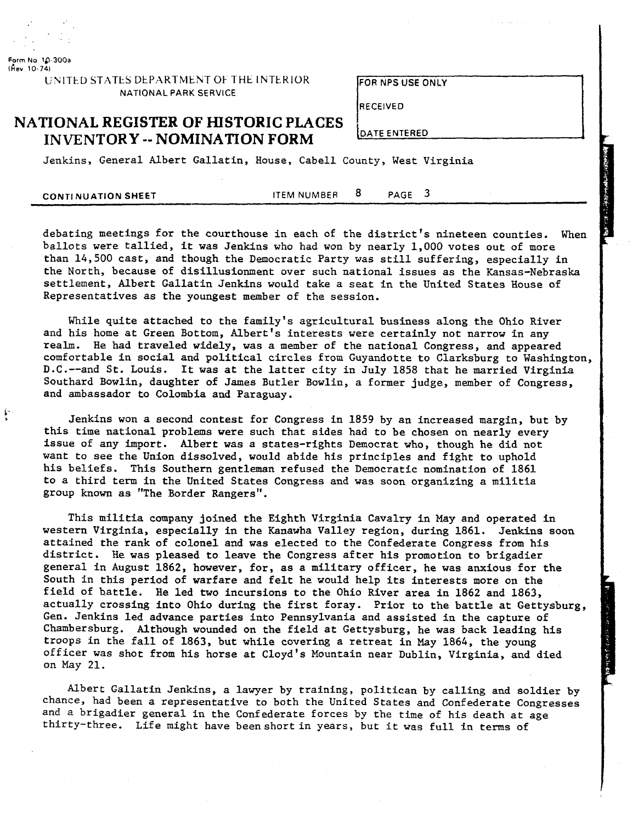

**Form No 10** 300a **(kev 10-74)** 

> **UNITED STATES DEPARTMENT OF THE INTERIOR NATIONAL PARK SERVICE**

FOR NPS USE ONLY

**OATE ENTERED** 

**RECEIVED** 

## **NATIONAL REGISTER OF HISTORIC PLACES INVENTORY** -- **NOMINATION FORM**

Jenkins, General Albert Gallatin, House, Cabell County, West Virginia

**CONTINUATION SHEET ITEM NUMBER 8 PAGE 3** 

debating meetings for the courthouse in each of the district's nineteen counties. When ballots were tallied, it was Jenkins who had won by nearly 1,000 votes out of more than 14,500 cast, and though the Democratic Party was still suffering, especially in the North, because of disillusionment over such national issues as the Kansas-Nebraska settlement, Albert Gallatin Jenkins would take a seat in the United States House of Representatives as the youngest member of the session.

While quite attached to the family's agricultural business along the Ohio River and his home at Green Bottom, Albert's interests were certainly not narrow in any realm. He had traveled widely, was a member of the national Congress, and appeared comfortable in social and political circles from Guyandotte to Clarksburg to Washington, D.C.--and St. Louis. It was at the latter city in July 1858 that he married Virginia Southard Bowlin, daughter of James Butler Bowlin, a former judge, member of Congress, and ambassador to Colombia and Paraguay.

Jenkins won a second contest for Congress in 1859 by an increased margin, but by this time national problems were such that sides had to be chosen on nearly every issue of any import. Albert was a states-rights Democrat who, though he did not want to see the Union dissolved, would abide his principles and fight to uphold his beliefs. This Southern gentleman refused the Democratic nomination of 1861 to a third term in the United States Congress and was soon organizing a militia group known as "The Border Rangers".

This militia company joined the Eighth Virginia Cavalry in May and operated in western Virginia, especially in the Kanawha Valley region, during 1861. Jenkins soon attained the rank of colonel and was elected to the Confederate Congress from his district. He was pleased to leave the Congress after his promotion to brigadier general in August 1862, however, for, as a military officer, he was anxious for the South in this period of warfare and felt he would help its interests more on the field of battle. He led two incursions to the Ohio River area in 1862 and 1863, actually crossing into Ohio during the first foray. Prior to the battle at Gettysburg, Gen. Jenkins led advance parties into Pennsylvania and assisted in the capture of Chambersburg. Although wounded on the field at Gettysburg, he was back leading his troops in the fall of 1863, but while covering a retreat in May 1864, the young officer was shot from his horse at Cloyd's Mountain near Dublin, Virginia, and died on May 21.

Albert Gallatin Jenkins, a lawyer by training, politican by calling and soldier by chance, had been a representative to both the United States and Confederate Congresses and a brigadier general in the Confederate forces by the time of his death at age thirty-three. Life might have beenshort in years, but it was full in terms of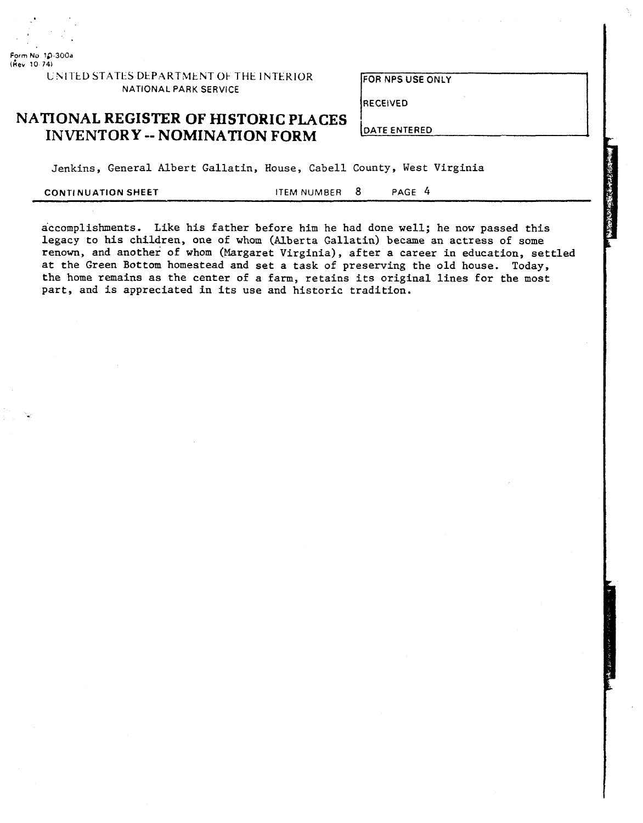**Form No 10 300a (iev !O 74)** 

## UNITED STATES DEPARTMENT OF THE INTERIOR **NATIONAL PARK SERVICE**

FOR NPS USE ONLY

**RECEIVED** 

**DATE ENTERED** 

# **NATIONAL REGISTER OF HISTORIC PLACES INVENTORY** -- **NOMINATION FORM**

Jenkins, General Albert Gallatin, House, Cabell County, West Virginia

**CONTINUATION SHEET ITEM NUMBER 8** PAGE 4

accomplishments. Like his father before him he had done well; he now passed this legacy to his children, one of whom (Alberta Gallatin) became an actress of some renown, and another of whom (Margaret Virginia), after a career in education, settled at the Green Bottom homestead and set a task of preserving the old house. Today, the home remains as the center of a farm, retains its original lines for the most part, and is appreciated in its use and historic tradition.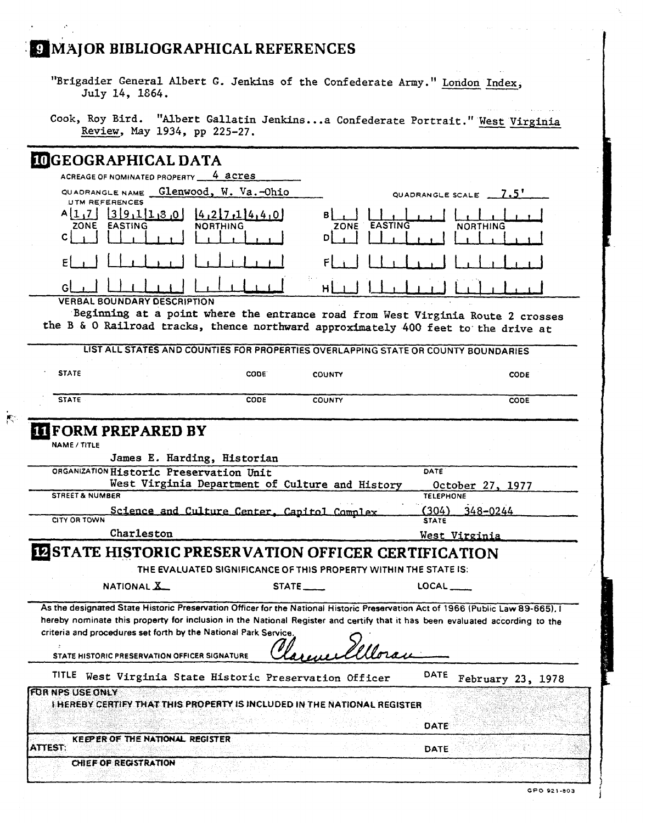$\mu$ 

| MAJOR DIDLIOGRAFIIIGAL REFERENCES                                                                              |
|----------------------------------------------------------------------------------------------------------------|
| "Brigadier General Albert G. Jenkins of the Confederate Army." London Index,<br>July 14, 1864.                 |
| Cook, Roy Bird. "Albert Gallatin Jenkinsa Confederate Portrait." West Virginia<br>Review, May 1934, pp 225-27. |

| <b>INGEOGRAPHICAL DATA</b>                                                         |                                                                                                                                                                                                                                                                 |
|------------------------------------------------------------------------------------|-----------------------------------------------------------------------------------------------------------------------------------------------------------------------------------------------------------------------------------------------------------------|
| ACREAGE OF NOMINATED PROPERTY __<br>4 acres                                        |                                                                                                                                                                                                                                                                 |
| QUADRANGLE NAME Glenwood, W. Va.-Ohio<br><b>UTM REFERENCES</b>                     | QUADRANGLE SCALE 7.5'                                                                                                                                                                                                                                           |
| $A[1,7]$ 39.11.8.0<br>4,217,114,4,0<br><b>NORTHING</b><br><b>EASTING</b><br>ZONE   | EASTING<br><b>NORTHING</b><br>ZONE                                                                                                                                                                                                                              |
| $\mathsf{C}^{\dagger}$                                                             | DI                                                                                                                                                                                                                                                              |
| E                                                                                  |                                                                                                                                                                                                                                                                 |
|                                                                                    | нI                                                                                                                                                                                                                                                              |
| <b>VERBAL BOUNDARY DESCRIPTION</b>                                                 |                                                                                                                                                                                                                                                                 |
| the B & O Railroad tracks, thence northward approximately 400 feet to the drive at | Beginning at a point where the entrance road from West Virginia Route 2 crosses                                                                                                                                                                                 |
|                                                                                    | LIST ALL STATES AND COUNTIES FOR PROPERTIES OVERLAPPING STATE OR COUNTY BOUNDARIES                                                                                                                                                                              |
| <b>STATE</b><br>CODE:                                                              | CODE<br><b>COUNTY</b>                                                                                                                                                                                                                                           |
| <b>STATE</b><br>CODE                                                               | <b>COUNTY</b><br><b>CODE</b>                                                                                                                                                                                                                                    |
|                                                                                    |                                                                                                                                                                                                                                                                 |
| <b>ILIFORM PREPARED BY</b>                                                         |                                                                                                                                                                                                                                                                 |
| NAME / TITLE<br>James E. Harding, Historian                                        |                                                                                                                                                                                                                                                                 |
| ORGANIZATION Historic Preservation Unit                                            | DATE                                                                                                                                                                                                                                                            |
| West Virginia Department of Culture and History                                    | October 27, 1977                                                                                                                                                                                                                                                |
| <b>STREET &amp; NUMBER</b>                                                         | <b>TELEPHONE</b>                                                                                                                                                                                                                                                |
| Science and Culture Center, Capitol Complex<br>CITY OR TOWN                        | (304)<br>348-0244<br><b>STATE</b>                                                                                                                                                                                                                               |
| Charleston                                                                         | West Virginia                                                                                                                                                                                                                                                   |
| <b>INSTATE HISTORIC PRESERVATION OFFICER CERTIFICATION</b>                         |                                                                                                                                                                                                                                                                 |
|                                                                                    | THE EVALUATED SIGNIFICANCE OF THIS PROPERTY WITHIN THE STATE IS:                                                                                                                                                                                                |
| NATIONAL X                                                                         | LOCAL                                                                                                                                                                                                                                                           |
| criteria and procedures set forth by the National Park Service.                    | As the designated State Historic Preservation Officer for the National Historic Preservation Act of 1966 (Public Law 89-665), I<br>hereby nominate this property for inclusion in the National Register and certify that it has been evaluated according to the |
| STATE HISTORIC PRESERVATION OFFICER SIGNATURE                                      |                                                                                                                                                                                                                                                                 |
|                                                                                    | DATE                                                                                                                                                                                                                                                            |
| TITLE West Virginia State Historic Preservation Officer                            | February 23, 1978                                                                                                                                                                                                                                               |
| LHEREBY CERTIFY THAT THIS PROPERTY IS INCLUDED IN THE NATIONAL REGISTER            |                                                                                                                                                                                                                                                                 |
|                                                                                    | DATE                                                                                                                                                                                                                                                            |
| FOR NPS USE ONLY<br>KEEPER OF THE NATIONAL REGISTER<br>ATTEST:                     | DATE                                                                                                                                                                                                                                                            |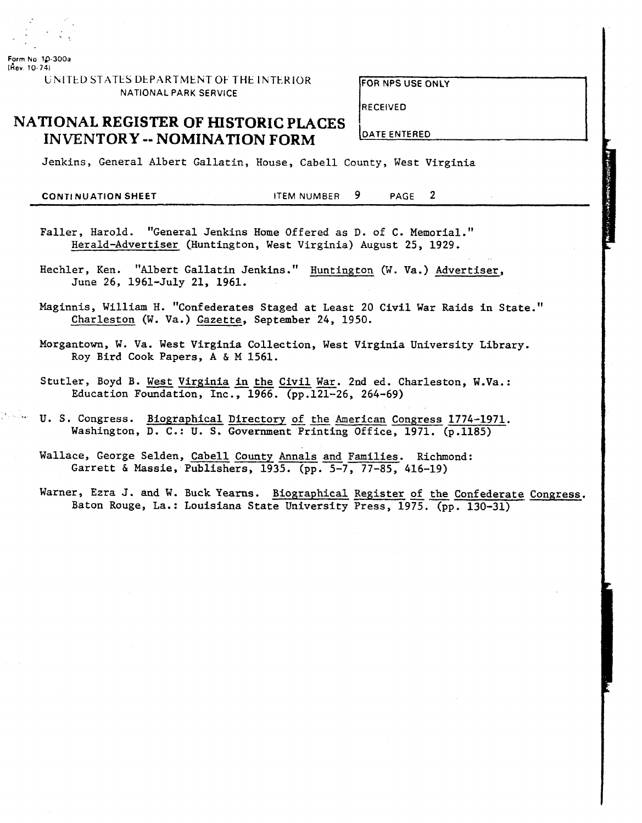

**Form No 10-300a (kev 10-741** 

> **UNITED STATES DEPARTMENT OF THE INTERIOR** NATIONAL PARK SERVICE

**<sup>r</sup>**, **FOR** NPS USE ONLY

RECEIVED

## **NATIONAL REGISTER OF HISTORIC PLACES** I **INVENTORY -- NOMINATION FORM**

Jenkins, General Albert Gallatin, House, Cabell County, West Virginia

**CONTl NUATION SHEET** ITEM NUMBER 9 PAGE 2

- Faller, Harold. "General Jenkins Home Offered as D. of C. Memorial." Herald-Advertiser (Huntington, West Virginia) August 25, 1929.
- Hechler, Ken. "Albert Gallatin Jenkins." Huntington (W. Va.) Advertiser, June 26, 1961-July 21, 1961.
- Maginnis, William H. "Confederates Staged at Least 20 Civil War Raids in State." Charleston (W. Va.) Gazette, September 24, 1950.
- Morgantown, W. Va. West Virginia Collection, West Virginia University Library. Roy Bird Cook Papers, **A** & M 1561.
- Stutler, Boyd B. West Virginia in the Civil War. 2nd ed. Charleston, W.Va.: Education Foundation, Inc., 1966. (pp.121-26, 264-69)
- U. S. Congress. Biographical Directory of the American Congress 1774-1971. Washington, D. C.: U. S. Government Printing Office, 1971. (p.1185)
- Wallace, George Selden, Cabell County Annals and Families. Richmond: Garrett & Massie, Publishers, 1935. (pp. 5-7, 77-85, 416-19)
- Warner, Ezra J. and W. Buck Yearns. Biographical Register of the Confederate Congress. Baton Rouge, La.: Louisiana State University Press, 1975. (pp. 130-31)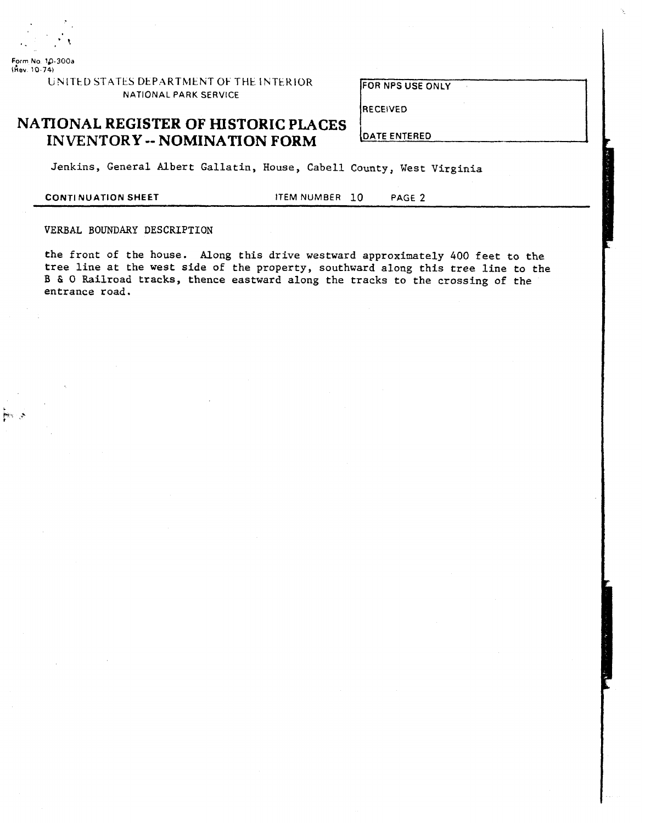

**Form No** 10-300a **(kev 10 74)** 

> **UNITED STATES DEPARTMENT OF THE INTERIOR** NATIONAL PARK SERVICE

**FOR NPS USE ONLY** 

**RECEIVED** 

# **NATIONAL REGISTER OF HISTORIC PLACES INVENTORY** -- **NOMINATION FORM**

**DATE ENTERED** 

Jenkins, General Albert Gallatin, House, Cabell County, West Virginia

**CONTINUATION SHEET ITEM NUMBER 10** PAGE 2

### VERBAL BOUNDARY DESCRIPTION

the front of the house. Along this drive westward approximately 400 feet to the tree line at the west side of the property, southward along this tree line to the B & **0** Railroad tracks, thence eastward along the tracks to the crossing of the entrance road.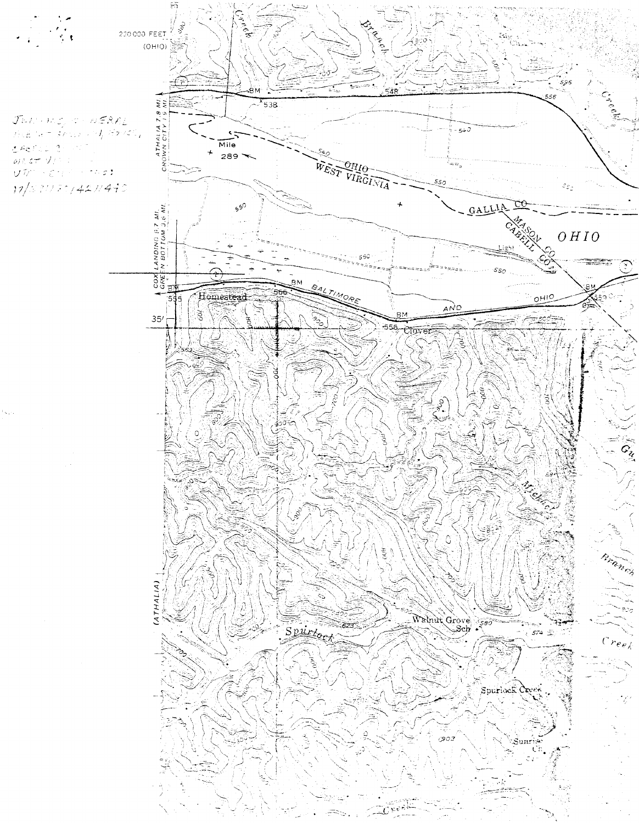220 000 FEET  $(OHIO)$ 

 $\begin{array}{l} \mathcal{J}\mathbb{B} E \mapsto \mathcal{W}\mathcal{Z}_p \trianglelefteq \cdots \mathcal{W} \mathcal{E} \mathcal{R} \mathcal{Z}_L \\ \mathcal{I}\mathbb{B} E \mapsto \pi^{-1} \mathcal{S} \mathcal{E} \mathbb{B} E \mapsto \mathcal{E} \mathcal{I}_p \mathcal{E} \mathcal{P} \mathcal{E} \mathbb{B}_p \end{array}$ deric 1  $\frac{1}{400}$  at  $\sqrt{10}$  $\label{eq:u} \mathcal{Q}[\widetilde{\mathcal{U}}^{\prime\prime}]\geq \xi(\gamma)^2\geq -\gamma\wedge\sigma\beta.$ 17/331170/421/440